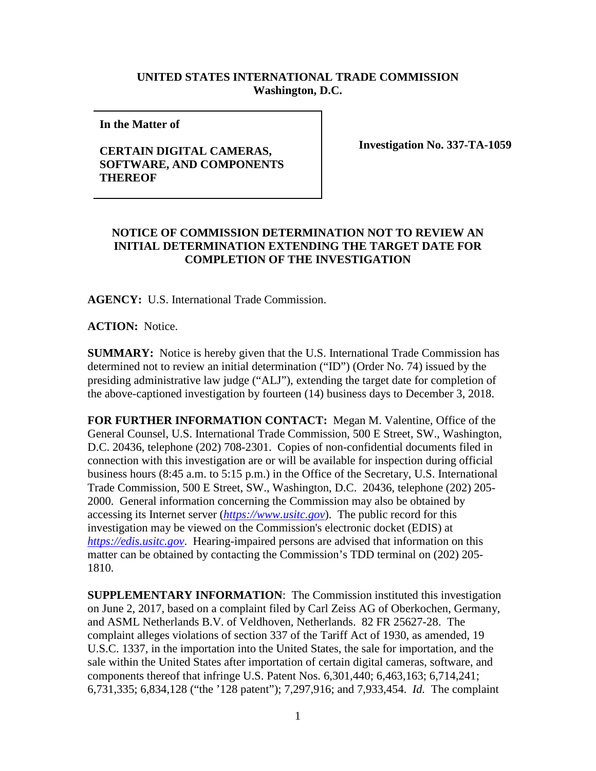## **UNITED STATES INTERNATIONAL TRADE COMMISSION Washington, D.C.**

**In the Matter of** 

## **CERTAIN DIGITAL CAMERAS, SOFTWARE, AND COMPONENTS THEREOF**

**Investigation No. 337-TA-1059**

## **NOTICE OF COMMISSION DETERMINATION NOT TO REVIEW AN INITIAL DETERMINATION EXTENDING THE TARGET DATE FOR COMPLETION OF THE INVESTIGATION**

**AGENCY:** U.S. International Trade Commission.

**ACTION:** Notice.

**SUMMARY:** Notice is hereby given that the U.S. International Trade Commission has determined not to review an initial determination ("ID") (Order No. 74) issued by the presiding administrative law judge ("ALJ"), extending the target date for completion of the above-captioned investigation by fourteen (14) business days to December 3, 2018.

**FOR FURTHER INFORMATION CONTACT:** Megan M. Valentine, Office of the General Counsel, U.S. International Trade Commission, 500 E Street, SW., Washington, D.C. 20436, telephone (202) 708-2301. Copies of non-confidential documents filed in connection with this investigation are or will be available for inspection during official business hours (8:45 a.m. to 5:15 p.m.) in the Office of the Secretary, U.S. International Trade Commission, 500 E Street, SW., Washington, D.C. 20436, telephone (202) 205- 2000. General information concerning the Commission may also be obtained by accessing its Internet server (*[https://www.usitc.gov](https://www.usitc.gov/)*). The public record for this investigation may be viewed on the Commission's electronic docket (EDIS) at *[https://edis.usitc.gov](https://edis.usitc.gov/)*. Hearing-impaired persons are advised that information on this matter can be obtained by contacting the Commission's TDD terminal on (202) 205- 1810.

**SUPPLEMENTARY INFORMATION**: The Commission instituted this investigation on June 2, 2017, based on a complaint filed by Carl Zeiss AG of Oberkochen, Germany, and ASML Netherlands B.V. of Veldhoven, Netherlands. 82 FR 25627-28. The complaint alleges violations of section 337 of the Tariff Act of 1930, as amended, 19 U.S.C. 1337, in the importation into the United States, the sale for importation, and the sale within the United States after importation of certain digital cameras, software, and components thereof that infringe U.S. Patent Nos. 6,301,440; 6,463,163; 6,714,241; 6,731,335; 6,834,128 ("the '128 patent"); 7,297,916; and 7,933,454. *Id.* The complaint